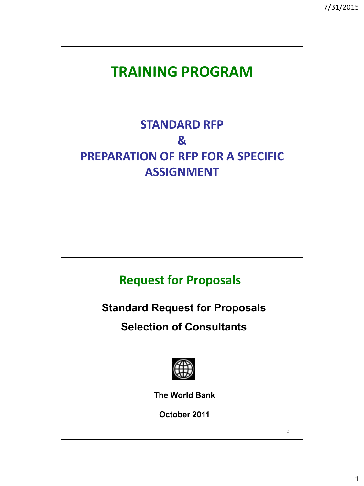1



# **PREPARATION OF RFP FOR A SPECIFIC ASSIGNMENT**

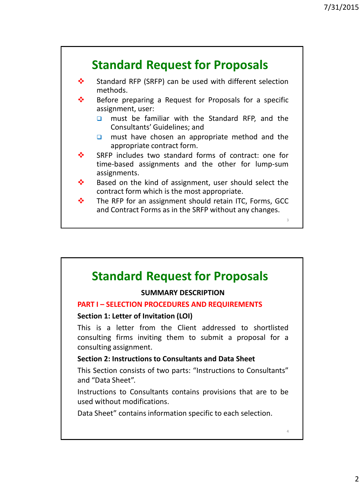

#### **SUMMARY DESCRIPTION**

#### **PART I – SELECTION PROCEDURES AND REQUIREMENTS**

#### **Section 1: Letter of Invitation (LOI)**

This is a letter from the Client addressed to shortlisted consulting firms inviting them to submit a proposal for a consulting assignment.

#### **Section 2: Instructions to Consultants and Data Sheet**

This Section consists of two parts: "Instructions to Consultants" and "Data Sheet".

Instructions to Consultants contains provisions that are to be used without modifications.

Data Sheet" contains information specific to each selection.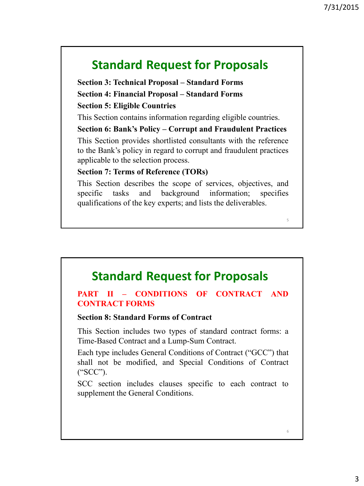**Section 3: Technical Proposal – Standard Forms Section 4: Financial Proposal – Standard Forms Section 5: Eligible Countries**

This Section contains information regarding eligible countries.

### **Section 6: Bank's Policy – Corrupt and Fraudulent Practices**

This Section provides shortlisted consultants with the reference to the Bank's policy in regard to corrupt and fraudulent practices applicable to the selection process.

### **Section 7: Terms of Reference (TORs)**

This Section describes the scope of services, objectives, and specific tasks and background information; specifies qualifications of the key experts; and lists the deliverables.

### **Standard Request for Proposals**

### **PART II – CONDITIONS OF CONTRACT AND CONTRACT FORMS**

### **Section 8: Standard Forms of Contract**

This Section includes two types of standard contract forms: a Time-Based Contract and a Lump-Sum Contract.

Each type includes General Conditions of Contract ("GCC") that shall not be modified, and Special Conditions of Contract ("SCC").

SCC section includes clauses specific to each contract to supplement the General Conditions.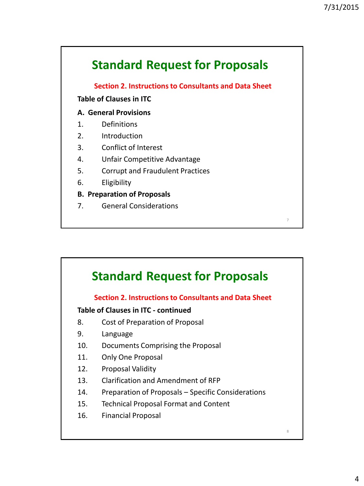**Section 2. Instructions to Consultants and Data Sheet**

#### **Table of Clauses in ITC**

#### **A. General Provisions**

- 1. Definitions
- 2. Introduction
- 3. Conflict of Interest
- 4. Unfair Competitive Advantage
- 5. Corrupt and Fraudulent Practices
- 6. Eligibility

**B. Preparation of Proposals**

7. General Considerations

### **Standard Request for Proposals**

### **Section 2. Instructions to Consultants and Data Sheet**

#### **Table of Clauses in ITC - continued**

- 8. Cost of Preparation of Proposal
- 9. Language
- 10. Documents Comprising the Proposal
- 11. Only One Proposal
- 12. Proposal Validity
- 13. Clarification and Amendment of RFP
- 14. Preparation of Proposals Specific Considerations
- 15. Technical Proposal Format and Content
- 16. Financial Proposal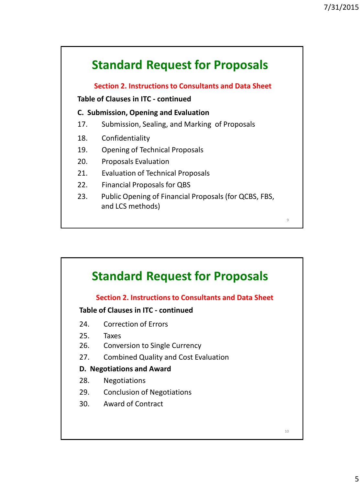**Section 2. Instructions to Consultants and Data Sheet**

**Table of Clauses in ITC - continued**

#### **C. Submission, Opening and Evaluation**

- 17. Submission, Sealing, and Marking of Proposals
- 18. Confidentiality
- 19. Opening of Technical Proposals
- 20. Proposals Evaluation
- 21. Evaluation of Technical Proposals
- 22. Financial Proposals for QBS
- 23. Public Opening of Financial Proposals (for QCBS, FBS, and LCS methods)

# **Standard Request for Proposals**

### **Section 2. Instructions to Consultants and Data Sheet**

#### **Table of Clauses in ITC - continued**

- 24. Correction of Errors
- 25. Taxes
- 26. Conversion to Single Currency
- 27. Combined Quality and Cost Evaluation

#### **D. Negotiations and Award**

- 28. Negotiations
- 29. Conclusion of Negotiations
- 30. Award of Contract

 $\alpha$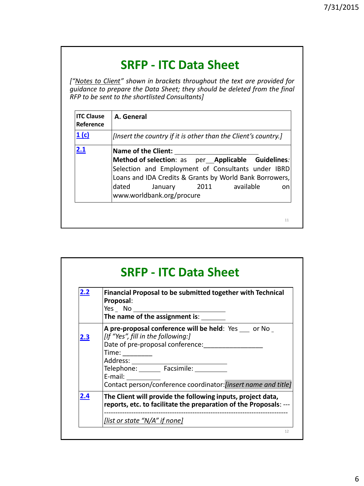# **SRFP - ITC Data Sheet**

*["Notes to Client" shown in brackets throughout the text are provided for guidance to prepare the Data Sheet; they should be deleted from the final RFP to be sent to the shortlisted Consultants]*

| <b>ITC Clause</b><br>Reference | A. General                                                                                                                                                                                                                                                                      |
|--------------------------------|---------------------------------------------------------------------------------------------------------------------------------------------------------------------------------------------------------------------------------------------------------------------------------|
| 1(c)                           | [Insert the country if it is other than the Client's country.]                                                                                                                                                                                                                  |
| 2.1                            | <b>Name of the Client:</b><br>Method of selection: as  per_Applicable  Guidelines:<br>Selection and Employment of Consultants under IBRD<br>Loans and IDA Credits & Grants by World Bank Borrowers,<br>available<br>dated<br>2011<br>January<br>on<br>www.worldbank.org/procure |
|                                | 11                                                                                                                                                                                                                                                                              |

| 2.2 | Financial Proposal to be submitted together with Technical<br>Proposal:                                                                                                                                  |
|-----|----------------------------------------------------------------------------------------------------------------------------------------------------------------------------------------------------------|
| 2.3 | A pre-proposal conference will be held: Yes or No<br>[If "Yes", fill in the following:]<br>Date of pre-proposal conference:<br>E-mail:<br>Contact person/conference coordinator: [insert name and title] |
| 2.4 | The Client will provide the following inputs, project data,<br>reports, etc. to facilitate the preparation of the Proposals: ---                                                                         |
|     | <u>[list or state "N/A" if none]</u>                                                                                                                                                                     |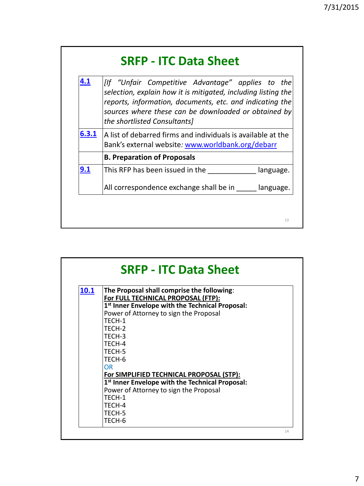| 4.1   | [If "Unfair Competitive Advantage" applies to the<br>selection, explain how it is mitigated, including listing the<br>reports, information, documents, etc. and indicating the<br>sources where these can be downloaded or obtained by<br>the shortlisted Consultants] |
|-------|------------------------------------------------------------------------------------------------------------------------------------------------------------------------------------------------------------------------------------------------------------------------|
| 6.3.1 | A list of debarred firms and individuals is available at the<br>Bank's external website: www.worldbank.org/debarr                                                                                                                                                      |
|       | <b>B. Preparation of Proposals</b>                                                                                                                                                                                                                                     |
| 9.1   | This RFP has been issued in the<br>language.                                                                                                                                                                                                                           |
|       | All correspondence exchange shall be in language.                                                                                                                                                                                                                      |

| 10.1 | The Proposal shall comprise the following:<br>For FULL TECHNICAL PROPOSAL (FTP): |  |
|------|----------------------------------------------------------------------------------|--|
|      | 1 <sup>st</sup> Inner Envelope with the Technical Proposal:                      |  |
|      | Power of Attorney to sign the Proposal                                           |  |
|      | TFCH-1                                                                           |  |
|      | TFCH-2<br>TECH-3                                                                 |  |
|      | TFCH-4                                                                           |  |
|      | TFCH-5                                                                           |  |
|      | TFCH-6                                                                           |  |
|      | 0 <sub>R</sub>                                                                   |  |
|      | For SIMPLIFIED TECHNICAL PROPOSAL (STP):                                         |  |
|      | 1st Inner Envelope with the Technical Proposal:                                  |  |
|      | Power of Attorney to sign the Proposal                                           |  |
|      | TFCH-1                                                                           |  |
|      | TECH-4                                                                           |  |
|      | TECH-5                                                                           |  |
|      | TECH-6                                                                           |  |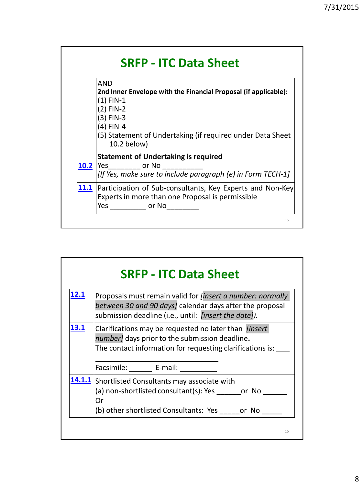|      | AND<br>2nd Inner Envelope with the Financial Proposal (if applicable):                                                     |
|------|----------------------------------------------------------------------------------------------------------------------------|
|      | $(1)$ FIN-1<br>(2) FIN-2                                                                                                   |
|      | (3) FIN-3<br>(4) FIN-4                                                                                                     |
|      | (5) Statement of Undertaking (if required under Data Sheet<br>10.2 below)                                                  |
| 10.2 | <b>Statement of Undertaking is required</b><br>Yes or No<br>[If Yes, make sure to include paragraph (e) in Form TECH-1]    |
| 11.1 | Participation of Sub-consultants, Key Experts and Non-Key<br>Experts in more than one Proposal is permissible<br>Yes or No |

| <u>12.1</u> | Proposals must remain valid for <i>[insert a number: normally</i><br>between 30 and 90 days] calendar days after the proposal<br>submission deadline (i.e., until: <i>[insert the date]).</i> |
|-------------|-----------------------------------------------------------------------------------------------------------------------------------------------------------------------------------------------|
| <u>13.1</u> | Clarifications may be requested no later than <i>[insert</i> ]<br>number] days prior to the submission deadline.                                                                              |
|             | The contact information for requesting clarifications is: ___                                                                                                                                 |
|             | Facsimile: ______ E-mail: _________                                                                                                                                                           |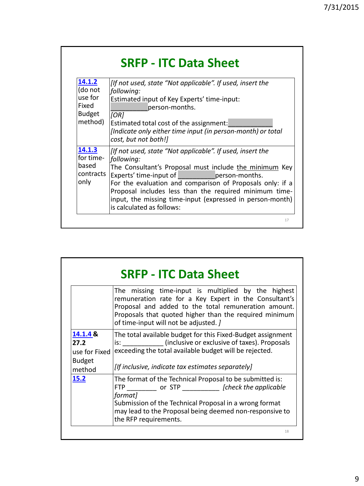|  | <b>SRFP - ITC Data Sheet</b> |
|--|------------------------------|
|--|------------------------------|

| 14.1.2             | [If not used, state "Not applicable". If used, insert the                                                               |
|--------------------|-------------------------------------------------------------------------------------------------------------------------|
| (do not            | following:                                                                                                              |
| use for            | Estimated input of Key Experts' time-input:                                                                             |
| Fixed              | person-months.                                                                                                          |
| <b>Budget</b>      | [OR]                                                                                                                    |
| method)            | Estimated total cost of the assignment:                                                                                 |
|                    | [Indicate only either time input (in person-month) or total                                                             |
|                    | cost, but not both!]                                                                                                    |
| 14.1.3             | [If not used, state "Not applicable". If used, insert the                                                               |
| for time-          | following:                                                                                                              |
| based<br>contracts | The Consultant's Proposal must include the minimum Key<br>Experts' time-input of<br><b>Example 19 Properson-months.</b> |
| only               | For the evaluation and comparison of Proposals only: if a                                                               |
|                    | Proposal includes less than the required minimum time-                                                                  |
|                    | input, the missing time-input (expressed in person-month)                                                               |
|                    | is calculated as follows:                                                                                               |
|                    | 17                                                                                                                      |

|                                                              | The missing time-input is multiplied by the highest<br>remuneration rate for a Key Expert in the Consultant's<br>Proposal and added to the total remuneration amount.<br>Proposals that quoted higher than the required minimum<br>of time-input will not be adjusted. ] |
|--------------------------------------------------------------|--------------------------------------------------------------------------------------------------------------------------------------------------------------------------------------------------------------------------------------------------------------------------|
| 14.1.4 &<br>27.2<br>use for Fixed<br><b>Budget</b><br>method | The total available budget for this Fixed-Budget assignment<br>is: (inclusive or exclusive of taxes). Proposals<br>exceeding the total available budget will be rejected.<br>[If inclusive, indicate tax estimates separately]                                           |
| 15.2                                                         | The format of the Technical Proposal to be submitted is:<br>FTP or STP [check the applicable<br>format]<br>Submission of the Technical Proposal in a wrong format<br>may lead to the Proposal being deemed non-responsive to<br>the RFP requirements.                    |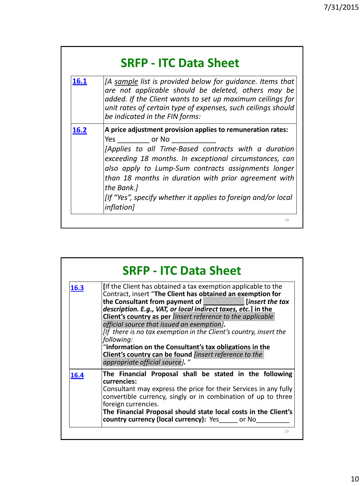| 16.1 | <b>SRFP - ITC Data Sheet</b><br>[A sample list is provided below for quidance. Items that                                                                                                                                                                                                                                                                                                              |
|------|--------------------------------------------------------------------------------------------------------------------------------------------------------------------------------------------------------------------------------------------------------------------------------------------------------------------------------------------------------------------------------------------------------|
|      | are not applicable should be deleted, others may be<br>added. If the Client wants to set up maximum ceilings for<br>unit rates of certain type of expenses, such ceilings should<br>be indicated in the FIN forms:                                                                                                                                                                                     |
| 16.2 | A price adjustment provision applies to remuneration rates:<br>Yes or No<br>[Applies to all Time-Based contracts with a duration<br>exceeding 18 months. In exceptional circumstances, can<br>also apply to Lump-Sum contracts assignments longer<br>than 18 months in duration with prior agreement with<br>the Bank.]<br>[If "Yes", specify whether it applies to foreign and/or local<br>inflation] |

| 16.3 | [If the Client has obtained a tax exemption applicable to the<br>Contract, insert "The Client has obtained an exemption for<br>the Consultant from payment of <i>[[insert the tax</i> ]<br>description. E.g., VAT, or local indirect taxes, etc.] in the<br>Client's country as per linsert reference to the applicable<br>official source that issued an exemption].<br>[If there is no tax exemption in the Client's country, insert the<br>following:<br>"Information on the Consultant's tax obligations in the<br><b>Client's country can be found finsert reference to the</b><br>appropriate official source]. " |
|------|-------------------------------------------------------------------------------------------------------------------------------------------------------------------------------------------------------------------------------------------------------------------------------------------------------------------------------------------------------------------------------------------------------------------------------------------------------------------------------------------------------------------------------------------------------------------------------------------------------------------------|
| 16.4 | The Financial Proposal shall be stated in the following<br>currencies:<br>Consultant may express the price for their Services in any fully<br>convertible currency, singly or in combination of up to three<br>foreign currencies.<br>The Financial Proposal should state local costs in the Client's<br>country currency (local currency): Yes or No                                                                                                                                                                                                                                                                   |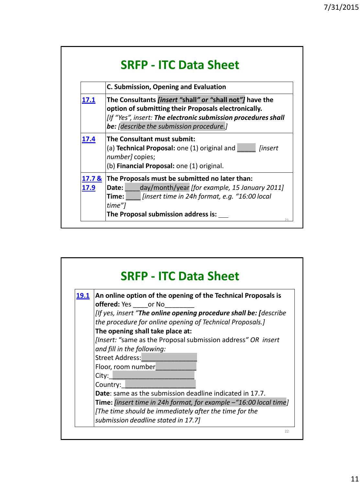|                           | C. Submission, Opening and Evaluation                                                                                                                                                                                                       |
|---------------------------|---------------------------------------------------------------------------------------------------------------------------------------------------------------------------------------------------------------------------------------------|
| 17.1                      | The Consultants <i>[insert "shall" or "shall not"]</i> have the<br>option of submitting their Proposals electronically.<br>[If "Yes", insert: The electronic submission procedures shall<br><b>be:</b> [describe the submission procedure.] |
| 17.4                      | The Consultant must submit:<br>(a) <b>Technical Proposal:</b> one $(1)$ original and<br><i>linsert</i><br>number] copies;<br>(b) Financial Proposal: one (1) original.                                                                      |
| 17.7 <sup>8</sup><br>17.9 | The Proposals must be submitted no later than:<br>day/month/year [for example, 15 January 2011]<br>Date:<br>[insert time in 24h format, e.g. "16:00 local<br>Time: l<br>time"]<br>The Proposal submission address is:                       |

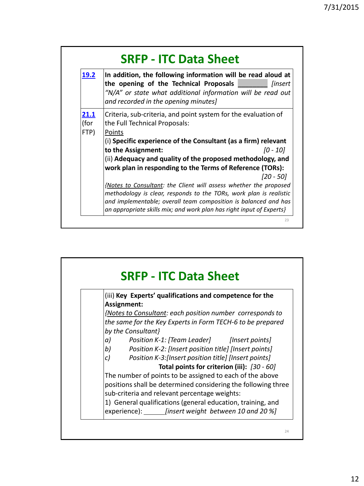| <u>19.2</u>          | In addition, the following information will be read aloud at<br>the opening of the Technical Proposals<br><i>linsert</i><br>"N/A" or state what additional information will be read out<br>and recorded in the opening minutes]                                                    |
|----------------------|------------------------------------------------------------------------------------------------------------------------------------------------------------------------------------------------------------------------------------------------------------------------------------|
| 21.1<br>(for<br>FTP) | Criteria, sub-criteria, and point system for the evaluation of<br>the Full Technical Proposals:<br>Points<br>(i) Specific experience of the Consultant (as a firm) relevant                                                                                                        |
|                      | to the Assignment:<br>[0 - 10]                                                                                                                                                                                                                                                     |
|                      | (ii) Adequacy and quality of the proposed methodology, and<br>work plan in responding to the Terms of Reference (TORs):<br>$[20 - 50]$                                                                                                                                             |
|                      | {Notes to Consultant: the Client will assess whether the proposed<br>methodology is clear, responds to the TORs, work plan is realistic<br>and implementable; overall team composition is balanced and has<br>an appropriate skills mix; and work plan has right input of Experts} |

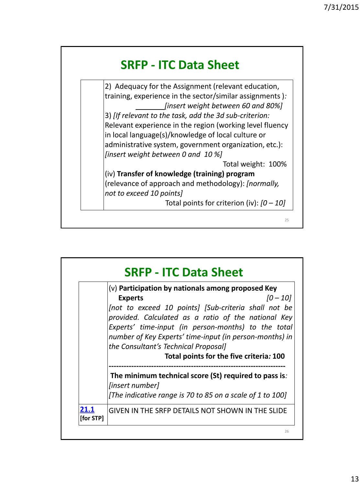

2) Adequacy for the Assignment (relevant education, training, experience in the sector/similar assignments )*: [insert weight between 60 and 80%]* 3) *[If relevant to the task, add the 3d sub-criterion:* Relevant experience in the region (working level fluency in local language(s)/knowledge of local culture or administrative system, government organization, etc.): *[insert weight between 0 and 10 %]* Total weight: 100% (iv) **Transfer of knowledge (training) program**

(relevance of approach and methodology): *[normally, not to exceed 10 points]*

Total points for criterion (iv): *[0 – 10]*

 $25$ 

**SRFP - ITC Data Sheet** 26 (v) **Participation by nationals among proposed Key Experts** *[0 – 10] [not to exceed 10 points] [Sub-criteria shall not be provided. Calculated as a ratio of the national Key Experts' time-input (in person-months) to the total number of Key Experts' time-input (in person-months) in the Consultant's Technical Proposal]* **Total points for the five criteria***:* **100 ----------------------------------------------------------------------- The minimum technical score (St) required to pass is***: [insert number] [The indicative range is 70 to 85 on a scale of 1 to 100]* **[21.1](ITC Clauses 16.1 to 21.1.docx) [for STP]** GIVEN IN THE SRFP DETAILS NOT SHOWN IN THE SLIDE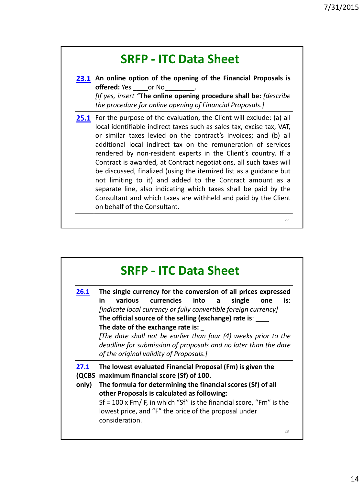| 23.1 | An online option of the opening of the Financial Proposals is<br><b>offered:</b> Yes or No<br>[If yes, insert "The online opening procedure shall be: [describe<br>the procedure for online opening of Financial Proposals.]                                                                                                                                                                                                                                                                                                                                                                                                                                                                                                     |
|------|----------------------------------------------------------------------------------------------------------------------------------------------------------------------------------------------------------------------------------------------------------------------------------------------------------------------------------------------------------------------------------------------------------------------------------------------------------------------------------------------------------------------------------------------------------------------------------------------------------------------------------------------------------------------------------------------------------------------------------|
| 25.1 | For the purpose of the evaluation, the Client will exclude: (a) all<br>local identifiable indirect taxes such as sales tax, excise tax, VAT,<br>or similar taxes levied on the contract's invoices; and (b) all<br>additional local indirect tax on the remuneration of services<br>rendered by non-resident experts in the Client's country. If a<br>Contract is awarded, at Contract negotiations, all such taxes will<br>be discussed, finalized (using the itemized list as a guidance but<br>not limiting to it) and added to the Contract amount as a<br>separate line, also indicating which taxes shall be paid by the<br>Consultant and which taxes are withheld and paid by the Client<br>on behalf of the Consultant. |

| 26.1                   | The single currency for the conversion of all prices expressed<br>various currencies into a<br>is:<br>in<br>single<br>one<br>[indicate local currency or fully convertible foreign currency]<br>The official source of the selling (exchange) rate is:<br>The date of the exchange rate is:<br>[The date shall not be earlier than four (4) weeks prior to the<br>deadline for submission of proposals and no later than the date<br>of the original validity of Proposals.] |
|------------------------|------------------------------------------------------------------------------------------------------------------------------------------------------------------------------------------------------------------------------------------------------------------------------------------------------------------------------------------------------------------------------------------------------------------------------------------------------------------------------|
| 27.1<br>(QCBS<br>only) | The lowest evaluated Financial Proposal (Fm) is given the<br>maximum financial score (Sf) of 100.<br>The formula for determining the financial scores (Sf) of all<br>other Proposals is calculated as following:<br>Sf = 100 x Fm/F, in which "Sf" is the financial score, "Fm" is the<br>lowest price, and "F" the price of the proposal under<br>consideration.                                                                                                            |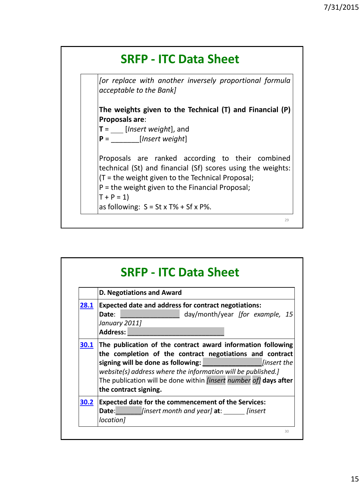

|      | D. Negotiations and Award                                                                                                                                                                                                                                                       |
|------|---------------------------------------------------------------------------------------------------------------------------------------------------------------------------------------------------------------------------------------------------------------------------------|
| 28.1 | <b>Expected date and address for contract negotiations:</b><br>day/month/year [for example, 15<br>Date:<br>January 2011]<br>Address:                                                                                                                                            |
| 30.1 | The publication of the contract award information following                                                                                                                                                                                                                     |
|      | the completion of the contract negotiations and contract<br>signing will be done as following: [insert the<br>website(s) address where the information will be published.]<br>The publication will be done within <i>[insert number of]</i> days after<br>the contract signing. |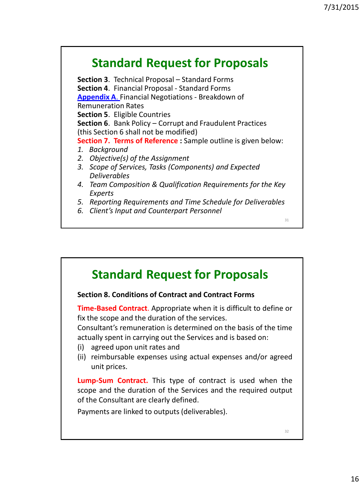31

# **Standard Request for Proposals**

**Section 3**. Technical Proposal – Standard Forms **Section 4**. Financial Proposal - Standard Forms **[Appendix A](Appendix A - Section 4 (Financial Forms).docx)**[. F](Appendix A - Section 4 (Financial Forms).docx)inancial Negotiations - Breakdown of Remuneration Rates **Section 5**. Eligible Countries **Section 6**. Bank Policy – Corrupt and Fraudulent Practices (this Section 6 shall not be modified) **Section 7. Terms of Reference :** Sample outline is given below: *1. Background 2. Objective(s) of the Assignment 3. Scope of Services, Tasks (Components) and Expected Deliverables 4. Team Composition & Qualification Requirements for the Key Experts 5. Reporting Requirements and Time Schedule for Deliverables*

*6. Client's Input and Counterpart Personnel*

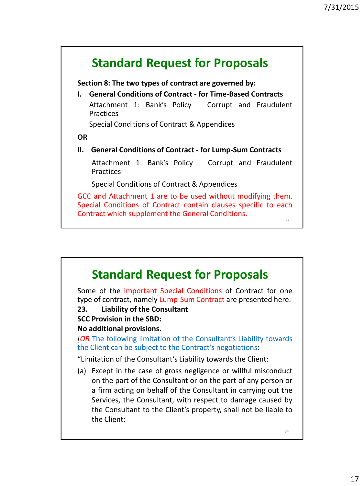

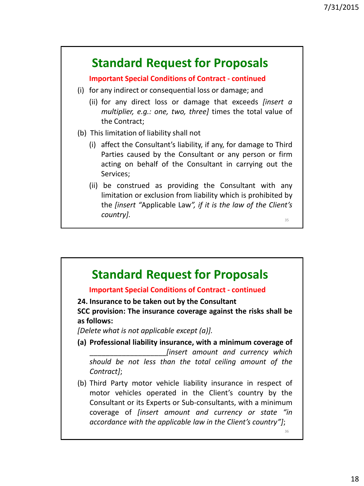### **Important Special Conditions of Contract - continued**

- (i) for any indirect or consequential loss or damage; and
	- (ii) for any direct loss or damage that exceeds *[insert a multiplier, e.g.: one, two, three]* times the total value of the Contract;
- (b) This limitation of liability shall not
	- (i) affect the Consultant's liability, if any, for damage to Third Parties caused by the Consultant or any person or firm acting on behalf of the Consultant in carrying out the Services;
	- (ii) be construed as providing the Consultant with any limitation or exclusion from liability which is prohibited by the *[insert "*Applicable Law*", if it is the law of the Client's country].* 35

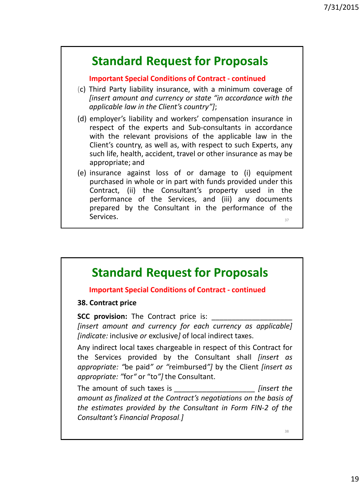### **Important Special Conditions of Contract - continued**

- (c) Third Party liability insurance, with a minimum coverage of *[insert amount and currency or state "in accordance with the applicable law in the Client's country"]*;
- (d) employer's liability and workers' compensation insurance in respect of the experts and Sub-consultants in accordance with the relevant provisions of the applicable law in the Client's country, as well as, with respect to such Experts, any such life, health, accident, travel or other insurance as may be appropriate; and
- (e) insurance against loss of or damage to (i) equipment purchased in whole or in part with funds provided under this Contract, (ii) the Consultant's property used in the performance of the Services, and (iii) any documents prepared by the Consultant in the performance of the Services. 37

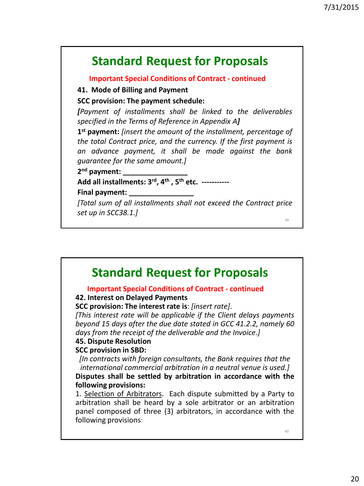**Important Special Conditions of Contract - continued**

**41. Mode of Billing and Payment**

**SCC provision: The payment schedule:**

*[Payment of installments shall be linked to the deliverables specified in the Terms of Reference in Appendix A]*

**1 st payment:** *[insert the amount of the installment, percentage of the total Contract price, and the currency. If the first payment is an advance payment, it shall be made against the bank guarantee for the same amount.]*

**2 nd payment: \_\_\_\_\_\_\_\_\_\_\_\_\_\_\_\_**

**Add all installments: 3 rd , 4 th , 5 th etc. ----------- Final payment: \_\_\_\_\_\_\_\_\_\_\_\_\_\_\_\_**

*[Total sum of all installments shall not exceed the Contract price set up in SCC38.1.]*

39

# **Standard Request for Proposals**

### **Important Special Conditions of Contract - continued**

### **42. Interest on Delayed Payments**

**SCC provision: The interest rate is**: *[insert rate]*.

*[This interest rate will be applicable if the Client delays payments beyond 15 days after the due date stated in GCC 41.2.2, namely 60 days from the receipt of the deliverable and the Invoice.]*

### **45. Dispute Resolution**

### **SCC provision in SBD:**

*[In contracts with foreign consultants, the Bank requires that the international commercial arbitration in a neutral venue is used.]*

#### **Disputes shall be settled by arbitration in accordance with the following provisions:**

1. Selection of Arbitrators. Each dispute submitted by a Party to arbitration shall be heard by a sole arbitrator or an arbitration panel composed of three (3) arbitrators, in accordance with the following provisions: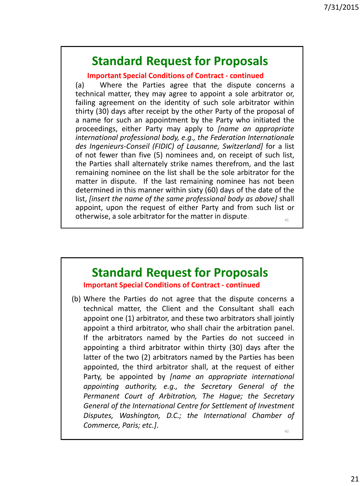**Important Special Conditions of Contract - continued**

(a) Where the Parties agree that the dispute concerns a technical matter, they may agree to appoint a sole arbitrator or, failing agreement on the identity of such sole arbitrator within thirty (30) days after receipt by the other Party of the proposal of a name for such an appointment by the Party who initiated the proceedings, either Party may apply to *[name an appropriate international professional body, e.g., the Federation Internationale des Ingenieurs-Conseil (FIDIC) of Lausanne, Switzerland]* for a list of not fewer than five (5) nominees and, on receipt of such list, the Parties shall alternately strike names therefrom, and the last remaining nominee on the list shall be the sole arbitrator for the matter in dispute. If the last remaining nominee has not been determined in this manner within sixty (60) days of the date of the list, *[insert the name of the same professional body as above]* shall appoint, upon the request of either Party and from such list or otherwise, a sole arbitrator for the matter in dispute. 41

**Standard Request for Proposals Important Special Conditions of Contract - continued**

(b) Where the Parties do not agree that the dispute concerns a technical matter, the Client and the Consultant shall each appoint one (1) arbitrator, and these two arbitrators shall jointly appoint a third arbitrator, who shall chair the arbitration panel. If the arbitrators named by the Parties do not succeed in appointing a third arbitrator within thirty (30) days after the latter of the two (2) arbitrators named by the Parties has been appointed, the third arbitrator shall, at the request of either Party, be appointed by *[name an appropriate international appointing authority, e.g., the Secretary General of the Permanent Court of Arbitration, The Hague; the Secretary General of the International Centre for Settlement of Investment Disputes, Washington, D.C.; the International Chamber of Commerce, Paris; etc.]*.